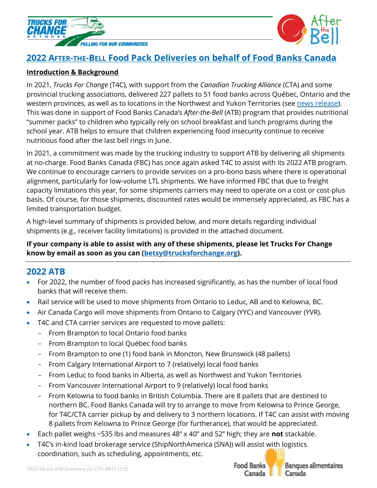



# **2022 AFTER-THE-BELL Food Pack Deliveries on behalf of Food Banks Canada**

## **Introduction & Background**

In 2021, *Trucks For Change* (T4C), with support from the *Canadian Trucking Alliance* (CTA) and some provincial trucking associations, delivered 227 pallets to 51 food banks across Québec, Ontario and the western provinces, as well as to locations in the Northwest and Yukon Territories (see [news release\)](https://trucksforchange.org/canadian-truckers-roll-to-battle-child-hunger/). This was done in support of Food Banks Canada's *After-the-Bell* (ATB) program that provides nutritional "summer packs" to children who typically rely on school breakfast and lunch programs during the school year. ATB helps to ensure that children experiencing food insecurity continue to receive nutritious food after the last bell rings in June.

In 2021, a commitment was made by the trucking industry to support ATB by delivering all shipments at no-charge. Food Banks Canada (FBC) has once again asked T4C to assist with its 2022 ATB program. We continue to encourage carriers to provide services on a pro-bono basis where there is operational alignment, particularly for low-volume LTL shipments. We have informed FBC that due to freight capacity limitations this year, for some shipments carriers may need to operate on a cost or cost-plus basis. Of course, for those shipments, discounted rates would be immensely appreciated, as FBC has a limited transportation budget.

A high-level summary of shipments is provided below, and more details regarding individual shipments (e.g., receiver facility limitations) is provided in the attached document.

## **If your company is able to assist with any of these shipments, please let Trucks For Change know by email as soon as you can [\(betsy@trucksforchange.org\)](mailto:betsy@trucksforchange.org).**

# **2022 ATB**

- For 2022, the number of food packs has increased significantly, as has the number of local food banks that will receive them.
- Rail service will be used to move shipments from Ontario to Leduc, AB and to Kelowna, BC.
- Air Canada Cargo will move shipments from Ontario to Calgary (YYC) and Vancouver (YVR).
- T4C and CTA carrier services are requested to move pallets:
	- From Brampton to local Ontario food banks
	- From Brampton to local Québec food banks
	- From Brampton to one (1) food bank in Moncton, New Brunswick (48 pallets)
	- From Calgary International Airport to 7 (relatively) local food banks
	- From Leduc to food banks in Alberta, as well as Northwest and Yukon Territories
	- From Vancouver International Airport to 9 (relatively) local food banks
	- From Kelowna to food banks in British Columbia. There are 8 pallets that are destined to northern BC. Food Banks Canada will try to arrange to move from Kelowna to Prince George, for T4C/CTA carrier pickup by and delivery to 3 northern locations. If T4C can assist with moving 8 pallets from Kelowna to Prince George (for furtherance), that would be appreciated.
- Each pallet weighs ~535 lbs and measures 48" x 40" and 52" high; they are **not** stackable.
- T4C's in-kind load brokerage service (ShipNorthAmerica (SNA)) will assist with logistics coordination, such as scheduling, appointments, etc.